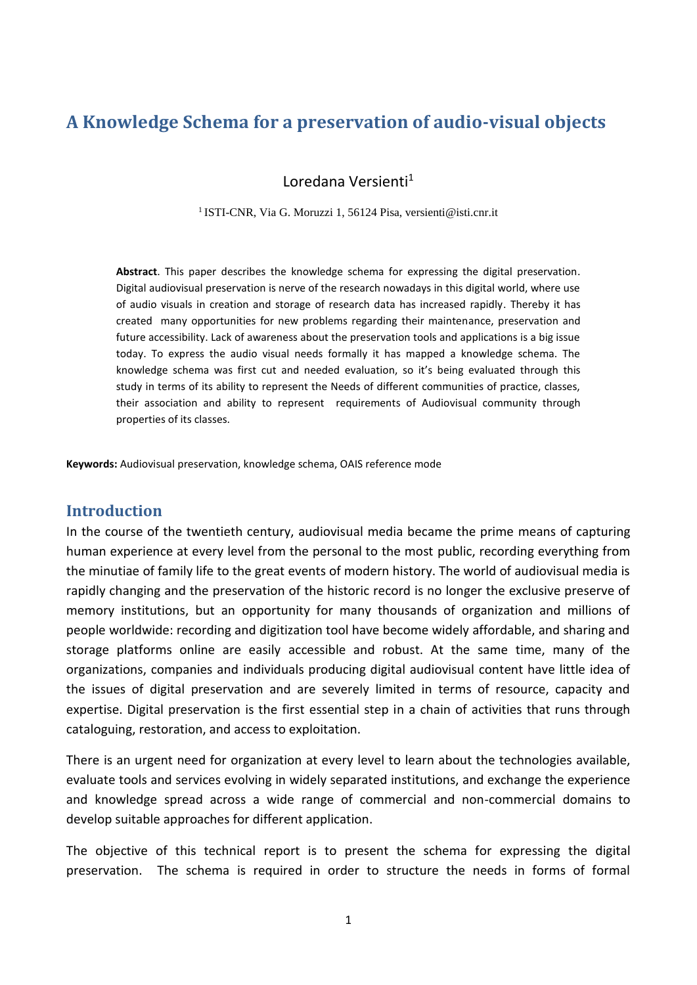# **A Knowledge Schema for a preservation of audio-visual objects**

Loredana Versienti<sup>1</sup>

<sup>1</sup>ISTI-CNR, Via G. Moruzzi 1, 56124 Pisa, versienti@isti.cnr.it

**Abstract**. This paper describes the knowledge schema for expressing the digital preservation. Digital audiovisual preservation is nerve of the research nowadays in this digital world, where use of audio visuals in creation and storage of research data has increased rapidly. Thereby it has created many opportunities for new problems regarding their maintenance, preservation and future accessibility. Lack of awareness about the preservation tools and applications is a big issue today. To express the audio visual needs formally it has mapped a knowledge schema. The knowledge schema was first cut and needed evaluation, so it's being evaluated through this study in terms of its ability to represent the Needs of different communities of practice, classes, their association and ability to represent requirements of Audiovisual community through properties of its classes.

**Keywords:** Audiovisual preservation, knowledge schema, OAIS reference mode

# **Introduction**

In the course of the twentieth century, audiovisual media became the prime means of capturing human experience at every level from the personal to the most public, recording everything from the minutiae of family life to the great events of modern history. The world of audiovisual media is rapidly changing and the preservation of the historic record is no longer the exclusive preserve of memory institutions, but an opportunity for many thousands of organization and millions of people worldwide: recording and digitization tool have become widely affordable, and sharing and storage platforms online are easily accessible and robust. At the same time, many of the organizations, companies and individuals producing digital audiovisual content have little idea of the issues of digital preservation and are severely limited in terms of resource, capacity and expertise. Digital preservation is the first essential step in a chain of activities that runs through cataloguing, restoration, and access to exploitation.

There is an urgent need for organization at every level to learn about the technologies available, evaluate tools and services evolving in widely separated institutions, and exchange the experience and knowledge spread across a wide range of commercial and non-commercial domains to develop suitable approaches for different application.

The objective of this technical report is to present the schema for expressing the digital preservation. The schema is required in order to structure the needs in forms of formal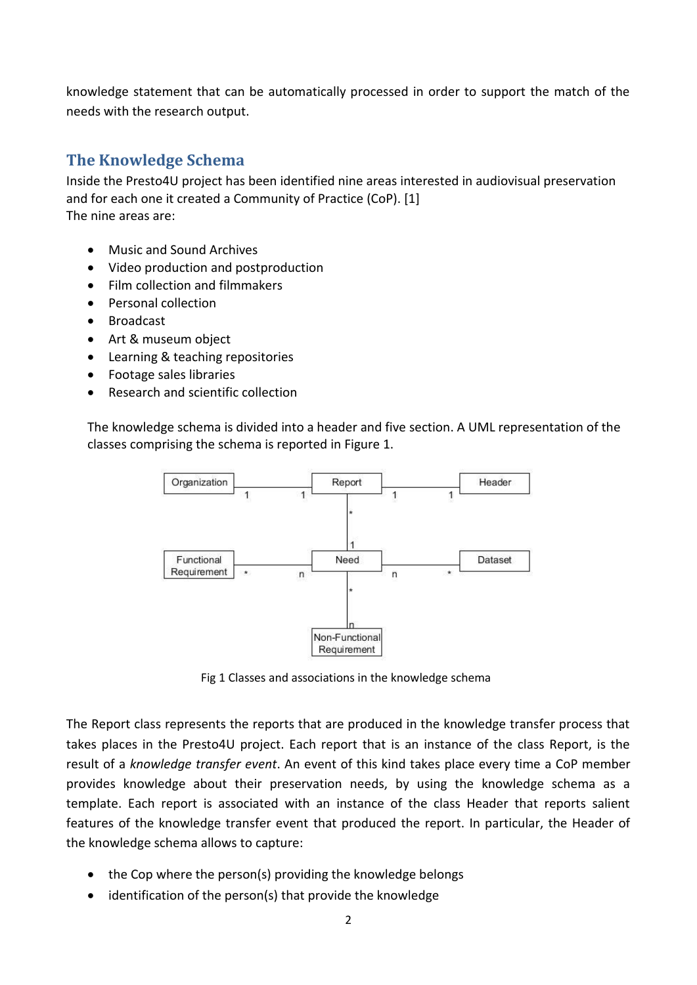knowledge statement that can be automatically processed in order to support the match of the needs with the research output.

# **The Knowledge Schema**

Inside the Presto4U project has been identified nine areas interested in audiovisual preservation and for each one it created a Community of Practice (CoP). [1] The nine areas are:

- Music and Sound Archives
- Video production and postproduction
- Film collection and filmmakers
- Personal collection
- Broadcast
- Art & museum object
- Learning & teaching repositories
- Footage sales libraries
- Research and scientific collection

The knowledge schema is divided into a header and five section. A UML representation of the classes comprising the schema is reported in Figure 1.



Fig 1 Classes and associations in the knowledge schema

The Report class represents the reports that are produced in the knowledge transfer process that takes places in the Presto4U project. Each report that is an instance of the class Report, is the result of a *knowledge transfer event*. An event of this kind takes place every time a CoP member provides knowledge about their preservation needs, by using the knowledge schema as a template. Each report is associated with an instance of the class Header that reports salient features of the knowledge transfer event that produced the report. In particular, the Header of the knowledge schema allows to capture:

- the Cop where the person(s) providing the knowledge belongs
- identification of the person(s) that provide the knowledge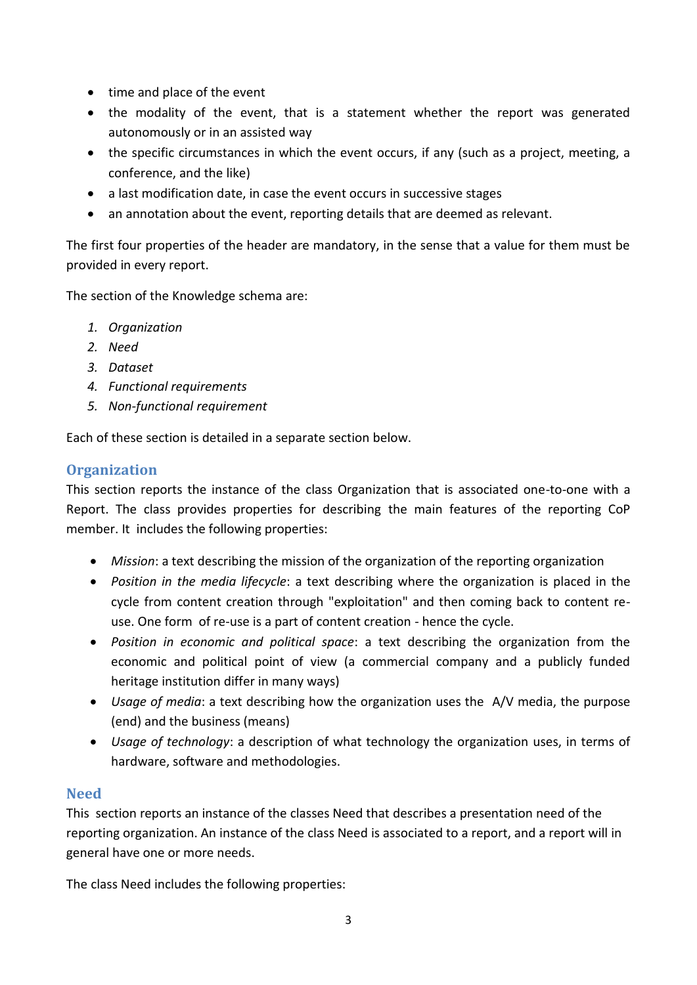- time and place of the event
- the modality of the event, that is a statement whether the report was generated autonomously or in an assisted way
- the specific circumstances in which the event occurs, if any (such as a project, meeting, a conference, and the like)
- a last modification date, in case the event occurs in successive stages
- an annotation about the event, reporting details that are deemed as relevant.

The first four properties of the header are mandatory, in the sense that a value for them must be provided in every report.

The section of the Knowledge schema are:

- *1. Organization*
- *2. Need*
- *3. Dataset*
- *4. Functional requirements*
- *5. Non-functional requirement*

Each of these section is detailed in a separate section below.

# **Organization**

This section reports the instance of the class Organization that is associated one-to-one with a Report. The class provides properties for describing the main features of the reporting CoP member. It includes the following properties:

- *Mission*: a text describing the mission of the organization of the reporting organization
- *Position in the media lifecycle*: a text describing where the organization is placed in the cycle from content creation through "exploitation" and then coming back to content reuse. One form of re-use is a part of content creation - hence the cycle.
- *Position in economic and political space*: a text describing the organization from the economic and political point of view (a commercial company and a publicly funded heritage institution differ in many ways)
- *Usage of media*: a text describing how the organization uses the A/V media, the purpose (end) and the business (means)
- *Usage of technology*: a description of what technology the organization uses, in terms of hardware, software and methodologies.

# **Need**

This section reports an instance of the classes Need that describes a presentation need of the reporting organization. An instance of the class Need is associated to a report, and a report will in general have one or more needs.

The class Need includes the following properties: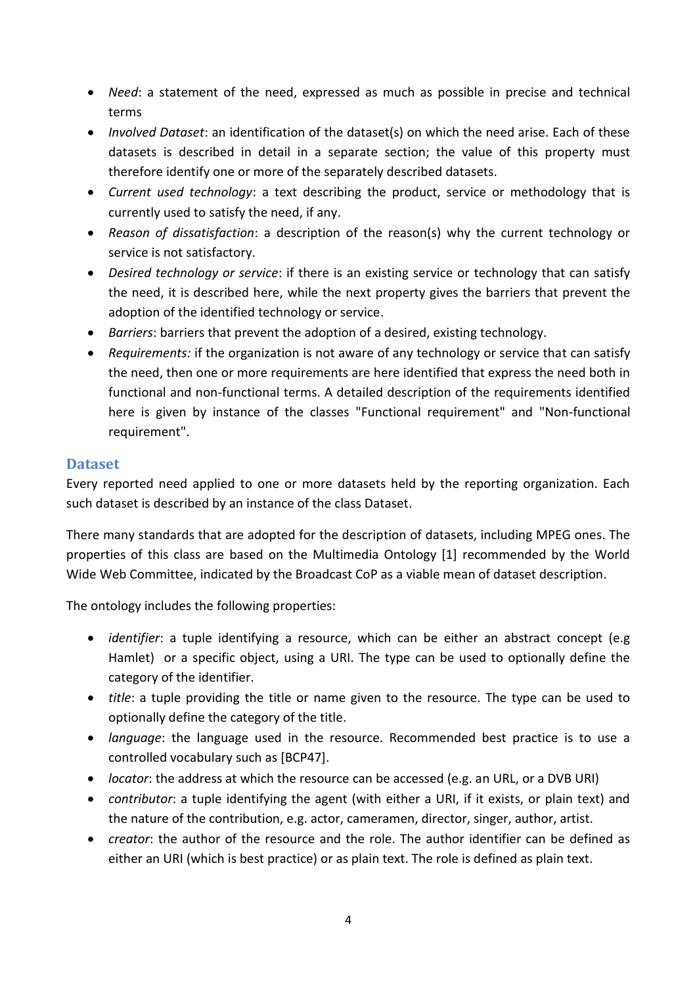- *Need*: a statement of the need, expressed as much as possible in precise and technical terms
- *Involved Dataset*: an identification of the dataset(s) on which the need arise. Each of these datasets is described in detail in a separate section; the value of this property must therefore identify one or more of the separately described datasets.
- *Current used technology*: a text describing the product, service or methodology that is currently used to satisfy the need, if any.
- *Reason of dissatisfaction*: a description of the reason(s) why the current technology or service is not satisfactory.
- *Desired technology or service*: if there is an existing service or technology that can satisfy the need, it is described here, while the next property gives the barriers that prevent the adoption of the identified technology or service.
- *Barriers*: barriers that prevent the adoption of a desired, existing technology.
- *Requirements:* if the organization is not aware of any technology or service that can satisfy the need, then one or more requirements are here identified that express the need both in functional and non-functional terms. A detailed description of the requirements identified here is given by instance of the classes "Functional requirement" and "Non-functional requirement".

# **Dataset**

Every reported need applied to one or more datasets held by the reporting organization. Each such dataset is described by an instance of the class Dataset.

There many standards that are adopted for the description of datasets, including MPEG ones. The properties of this class are based on the Multimedia Ontology [1] recommended by the World Wide Web Committee, indicated by the Broadcast CoP as a viable mean of dataset description.

The ontology includes the following properties:

- *identifier*: a tuple identifying a resource, which can be either an abstract concept (e.g Hamlet) or a specific object, using a URI. The type can be used to optionally define the category of the identifier.
- *title*: a tuple providing the title or name given to the resource. The type can be used to optionally define the category of the title.
- *language*: the language used in the resource. Recommended best practice is to use a controlled vocabulary such as [BCP47].
- *locator*: the address at which the resource can be accessed (e.g. an URL, or a DVB URI)
- *contributor*: a tuple identifying the agent (with either a URI, if it exists, or plain text) and the nature of the contribution, e.g. actor, cameramen, director, singer, author, artist.
- *creator*: the author of the resource and the role. The author identifier can be defined as either an URI (which is best practice) or as plain text. The role is defined as plain text.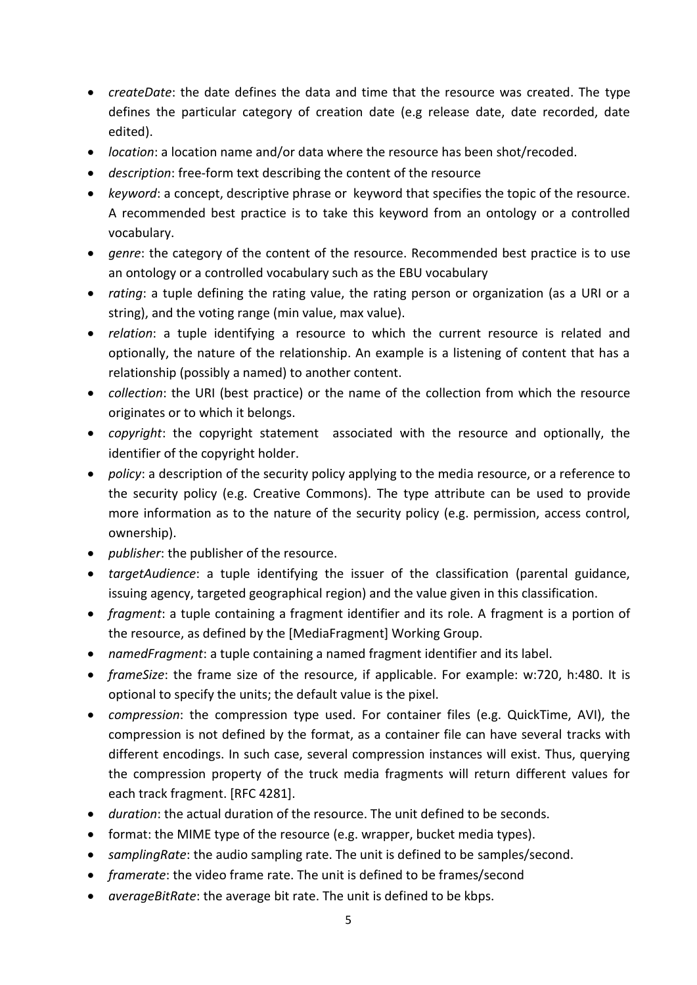- *createDate*: the date defines the data and time that the resource was created. The type defines the particular category of creation date (e.g release date, date recorded, date edited).
- *location*: a location name and/or data where the resource has been shot/recoded.
- *description*: free-form text describing the content of the resource
- *keyword*: a concept, descriptive phrase or keyword that specifies the topic of the resource. A recommended best practice is to take this keyword from an ontology or a controlled vocabulary.
- *genre*: the category of the content of the resource. Recommended best practice is to use an ontology or a controlled vocabulary such as the EBU vocabulary
- *rating*: a tuple defining the rating value, the rating person or organization (as a URI or a string), and the voting range (min value, max value).
- *relation*: a tuple identifying a resource to which the current resource is related and optionally, the nature of the relationship. An example is a listening of content that has a relationship (possibly a named) to another content.
- *collection*: the URI (best practice) or the name of the collection from which the resource originates or to which it belongs.
- *copyright*: the copyright statement associated with the resource and optionally, the identifier of the copyright holder.
- *policy*: a description of the security policy applying to the media resource, or a reference to the security policy (e.g. Creative Commons). The type attribute can be used to provide more information as to the nature of the security policy (e.g. permission, access control, ownership).
- *publisher*: the publisher of the resource.
- *targetAudience*: a tuple identifying the issuer of the classification (parental guidance, issuing agency, targeted geographical region) and the value given in this classification.
- *fragment*: a tuple containing a fragment identifier and its role. A fragment is a portion of the resource, as defined by the [MediaFragment] Working Group.
- *namedFragment*: a tuple containing a named fragment identifier and its label.
- *frameSize*: the frame size of the resource, if applicable. For example: w:720, h:480. It is optional to specify the units; the default value is the pixel.
- *compression*: the compression type used. For container files (e.g. QuickTime, AVI), the compression is not defined by the format, as a container file can have several tracks with different encodings. In such case, several compression instances will exist. Thus, querying the compression property of the truck media fragments will return different values for each track fragment. [RFC 4281].
- *duration*: the actual duration of the resource. The unit defined to be seconds.
- format: the MIME type of the resource (e.g. wrapper, bucket media types).
- *samplingRate*: the audio sampling rate. The unit is defined to be samples/second.
- *framerate*: the video frame rate. The unit is defined to be frames/second
- *averageBitRate*: the average bit rate. The unit is defined to be kbps.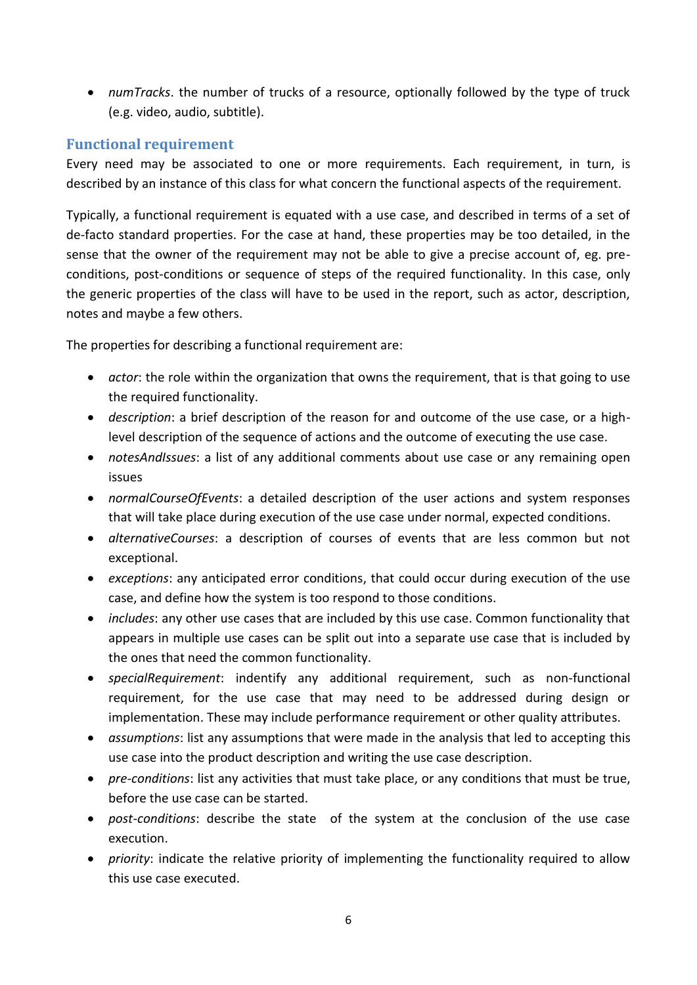*numTracks*. the number of trucks of a resource, optionally followed by the type of truck (e.g. video, audio, subtitle).

#### **Functional requirement**

Every need may be associated to one or more requirements. Each requirement, in turn, is described by an instance of this class for what concern the functional aspects of the requirement.

Typically, a functional requirement is equated with a use case, and described in terms of a set of de-facto standard properties. For the case at hand, these properties may be too detailed, in the sense that the owner of the requirement may not be able to give a precise account of, eg. preconditions, post-conditions or sequence of steps of the required functionality. In this case, only the generic properties of the class will have to be used in the report, such as actor, description, notes and maybe a few others.

The properties for describing a functional requirement are:

- *actor*: the role within the organization that owns the requirement, that is that going to use the required functionality.
- *description*: a brief description of the reason for and outcome of the use case, or a highlevel description of the sequence of actions and the outcome of executing the use case.
- *notesAndIssues*: a list of any additional comments about use case or any remaining open issues
- *normalCourseOfEvents*: a detailed description of the user actions and system responses that will take place during execution of the use case under normal, expected conditions.
- *alternativeCourses*: a description of courses of events that are less common but not exceptional.
- *exceptions*: any anticipated error conditions, that could occur during execution of the use case, and define how the system is too respond to those conditions.
- *includes*: any other use cases that are included by this use case. Common functionality that appears in multiple use cases can be split out into a separate use case that is included by the ones that need the common functionality.
- *specialRequirement*: indentify any additional requirement, such as non-functional requirement, for the use case that may need to be addressed during design or implementation. These may include performance requirement or other quality attributes.
- *assumptions*: list any assumptions that were made in the analysis that led to accepting this use case into the product description and writing the use case description.
- *pre-conditions*: list any activities that must take place, or any conditions that must be true, before the use case can be started.
- *post-conditions*: describe the state of the system at the conclusion of the use case execution.
- *priority*: indicate the relative priority of implementing the functionality required to allow this use case executed.